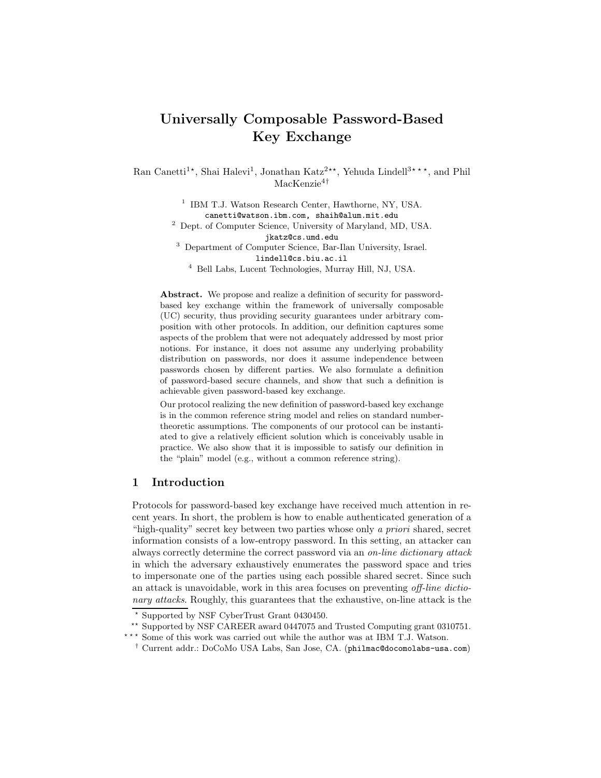# Universally Composable Password-Based Key Exchange

Ran Canetti<sup>1\*</sup>, Shai Halevi<sup>1</sup>, Jonathan Katz<sup>2\*\*</sup>, Yehuda Lindell<sup>3\*\*\*</sup>, and Phil MacKenzie4†

> <sup>1</sup> IBM T.J. Watson Research Center, Hawthorne, NY, USA. canetti@watson.ibm.com, shaih@alum.mit.edu <sup>2</sup> Dept. of Computer Science, University of Maryland, MD, USA. jkatz@cs.umd.edu <sup>3</sup> Department of Computer Science, Bar-Ilan University, Israel. lindell@cs.biu.ac.il <sup>4</sup> Bell Labs, Lucent Technologies, Murray Hill, NJ, USA.

Abstract. We propose and realize a definition of security for passwordbased key exchange within the framework of universally composable (UC) security, thus providing security guarantees under arbitrary composition with other protocols. In addition, our definition captures some aspects of the problem that were not adequately addressed by most prior notions. For instance, it does not assume any underlying probability distribution on passwords, nor does it assume independence between passwords chosen by different parties. We also formulate a definition of password-based secure channels, and show that such a definition is achievable given password-based key exchange.

Our protocol realizing the new definition of password-based key exchange is in the common reference string model and relies on standard numbertheoretic assumptions. The components of our protocol can be instantiated to give a relatively efficient solution which is conceivably usable in practice. We also show that it is impossible to satisfy our definition in the "plain" model (e.g., without a common reference string).

## 1 Introduction

Protocols for password-based key exchange have received much attention in recent years. In short, the problem is how to enable authenticated generation of a "high-quality" secret key between two parties whose only a priori shared, secret information consists of a low-entropy password. In this setting, an attacker can always correctly determine the correct password via an on-line dictionary attack in which the adversary exhaustively enumerates the password space and tries to impersonate one of the parties using each possible shared secret. Since such an attack is unavoidable, work in this area focuses on preventing off-line dictionary attacks. Roughly, this guarantees that the exhaustive, on-line attack is the

<sup>?</sup> Supported by NSF CyberTrust Grant 0430450.

<sup>\*\*</sup> Supported by NSF CAREER award 0447075 and Trusted Computing grant 0310751.

<sup>\*\*\*</sup> Some of this work was carried out while the author was at IBM T.J. Watson.

<sup>†</sup> Current addr.: DoCoMo USA Labs, San Jose, CA. (philmac@docomolabs-usa.com)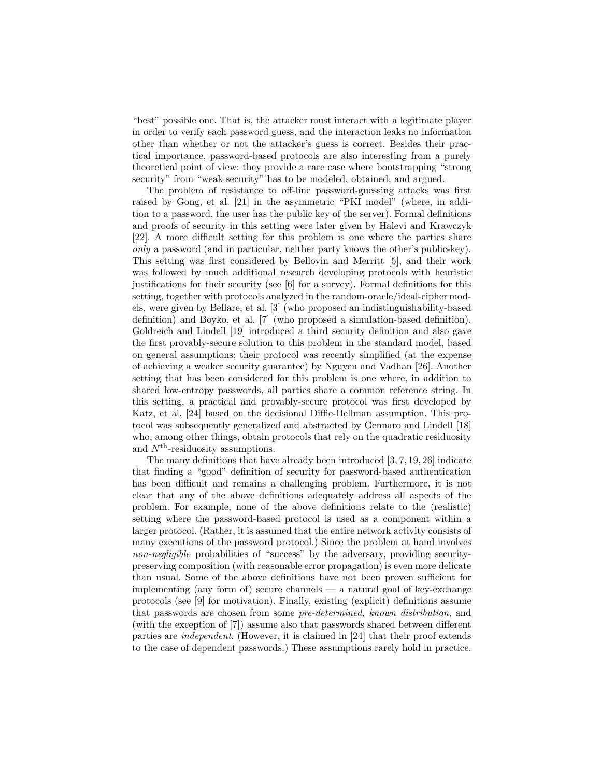"best" possible one. That is, the attacker must interact with a legitimate player in order to verify each password guess, and the interaction leaks no information other than whether or not the attacker's guess is correct. Besides their practical importance, password-based protocols are also interesting from a purely theoretical point of view: they provide a rare case where bootstrapping "strong security" from "weak security" has to be modeled, obtained, and argued.

The problem of resistance to off-line password-guessing attacks was first raised by Gong, et al. [21] in the asymmetric "PKI model" (where, in addition to a password, the user has the public key of the server). Formal definitions and proofs of security in this setting were later given by Halevi and Krawczyk [22]. A more difficult setting for this problem is one where the parties share only a password (and in particular, neither party knows the other's public-key). This setting was first considered by Bellovin and Merritt [5], and their work was followed by much additional research developing protocols with heuristic justifications for their security (see [6] for a survey). Formal definitions for this setting, together with protocols analyzed in the random-oracle/ideal-cipher models, were given by Bellare, et al. [3] (who proposed an indistinguishability-based definition) and Boyko, et al. [7] (who proposed a simulation-based definition). Goldreich and Lindell [19] introduced a third security definition and also gave the first provably-secure solution to this problem in the standard model, based on general assumptions; their protocol was recently simplified (at the expense of achieving a weaker security guarantee) by Nguyen and Vadhan [26]. Another setting that has been considered for this problem is one where, in addition to shared low-entropy passwords, all parties share a common reference string. In this setting, a practical and provably-secure protocol was first developed by Katz, et al. [24] based on the decisional Diffie-Hellman assumption. This protocol was subsequently generalized and abstracted by Gennaro and Lindell [18] who, among other things, obtain protocols that rely on the quadratic residuosity and Nth-residuosity assumptions.

The many definitions that have already been introduced [3, 7, 19, 26] indicate that finding a "good" definition of security for password-based authentication has been difficult and remains a challenging problem. Furthermore, it is not clear that any of the above definitions adequately address all aspects of the problem. For example, none of the above definitions relate to the (realistic) setting where the password-based protocol is used as a component within a larger protocol. (Rather, it is assumed that the entire network activity consists of many executions of the password protocol.) Since the problem at hand involves non-negligible probabilities of "success" by the adversary, providing securitypreserving composition (with reasonable error propagation) is even more delicate than usual. Some of the above definitions have not been proven sufficient for implementing (any form of) secure channels — a natural goal of key-exchange protocols (see [9] for motivation). Finally, existing (explicit) definitions assume that passwords are chosen from some pre-determined, known distribution, and (with the exception of [7]) assume also that passwords shared between different parties are independent. (However, it is claimed in [24] that their proof extends to the case of dependent passwords.) These assumptions rarely hold in practice.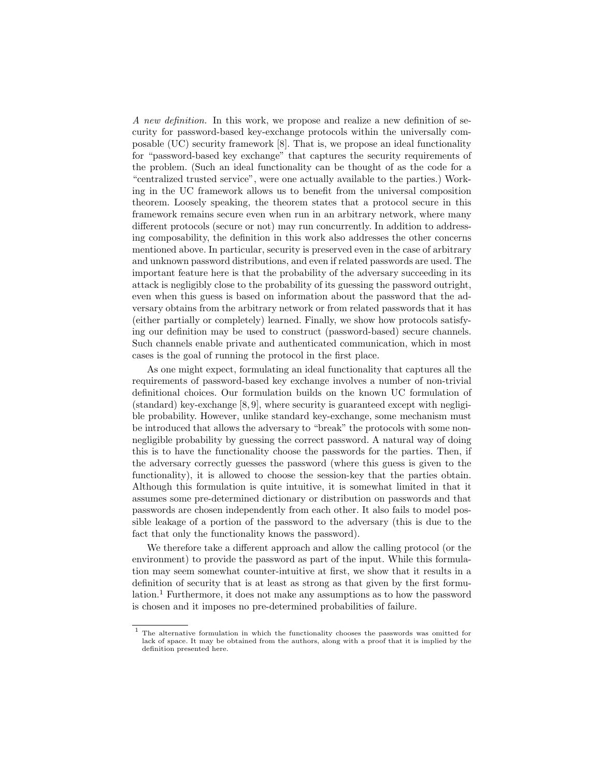A new definition. In this work, we propose and realize a new definition of security for password-based key-exchange protocols within the universally composable (UC) security framework [8]. That is, we propose an ideal functionality for "password-based key exchange" that captures the security requirements of the problem. (Such an ideal functionality can be thought of as the code for a "centralized trusted service", were one actually available to the parties.) Working in the UC framework allows us to benefit from the universal composition theorem. Loosely speaking, the theorem states that a protocol secure in this framework remains secure even when run in an arbitrary network, where many different protocols (secure or not) may run concurrently. In addition to addressing composability, the definition in this work also addresses the other concerns mentioned above. In particular, security is preserved even in the case of arbitrary and unknown password distributions, and even if related passwords are used. The important feature here is that the probability of the adversary succeeding in its attack is negligibly close to the probability of its guessing the password outright, even when this guess is based on information about the password that the adversary obtains from the arbitrary network or from related passwords that it has (either partially or completely) learned. Finally, we show how protocols satisfying our definition may be used to construct (password-based) secure channels. Such channels enable private and authenticated communication, which in most cases is the goal of running the protocol in the first place.

As one might expect, formulating an ideal functionality that captures all the requirements of password-based key exchange involves a number of non-trivial definitional choices. Our formulation builds on the known UC formulation of (standard) key-exchange [8, 9], where security is guaranteed except with negligible probability. However, unlike standard key-exchange, some mechanism must be introduced that allows the adversary to "break" the protocols with some nonnegligible probability by guessing the correct password. A natural way of doing this is to have the functionality choose the passwords for the parties. Then, if the adversary correctly guesses the password (where this guess is given to the functionality), it is allowed to choose the session-key that the parties obtain. Although this formulation is quite intuitive, it is somewhat limited in that it assumes some pre-determined dictionary or distribution on passwords and that passwords are chosen independently from each other. It also fails to model possible leakage of a portion of the password to the adversary (this is due to the fact that only the functionality knows the password).

We therefore take a different approach and allow the calling protocol (or the environment) to provide the password as part of the input. While this formulation may seem somewhat counter-intuitive at first, we show that it results in a definition of security that is at least as strong as that given by the first formulation.<sup>1</sup> Furthermore, it does not make any assumptions as to how the password is chosen and it imposes no pre-determined probabilities of failure.

 $^{\rm 1}$  The alternative formulation in which the functionality chooses the passwords was omitted for lack of space. It may be obtained from the authors, along with a proof that it is implied by the definition presented here.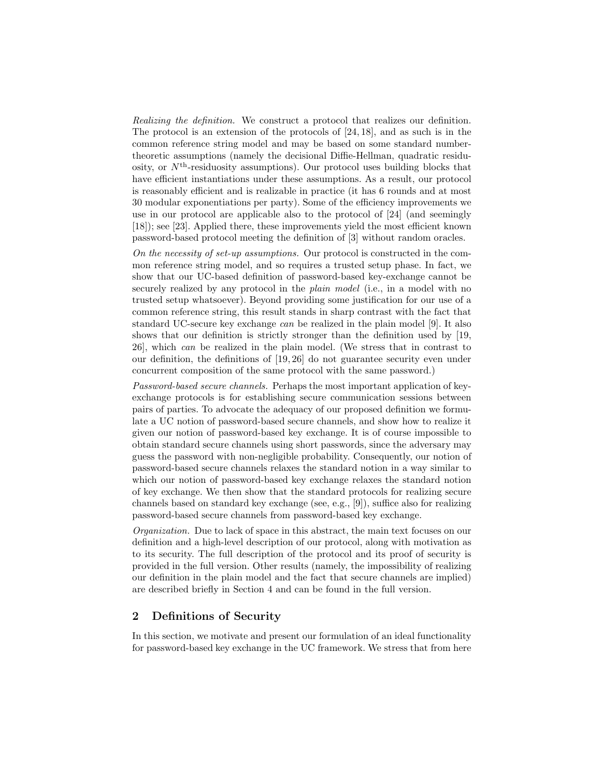Realizing the definition. We construct a protocol that realizes our definition. The protocol is an extension of the protocols of [24, 18], and as such is in the common reference string model and may be based on some standard numbertheoretic assumptions (namely the decisional Diffie-Hellman, quadratic residuosity, or  $N^{\text{th}}$ -residuosity assumptions). Our protocol uses building blocks that have efficient instantiations under these assumptions. As a result, our protocol is reasonably efficient and is realizable in practice (it has 6 rounds and at most 30 modular exponentiations per party). Some of the efficiency improvements we use in our protocol are applicable also to the protocol of [24] (and seemingly [18]); see [23]. Applied there, these improvements yield the most efficient known password-based protocol meeting the definition of [3] without random oracles.

On the necessity of set-up assumptions. Our protocol is constructed in the common reference string model, and so requires a trusted setup phase. In fact, we show that our UC-based definition of password-based key-exchange cannot be securely realized by any protocol in the *plain model* (i.e., in a model with no trusted setup whatsoever). Beyond providing some justification for our use of a common reference string, this result stands in sharp contrast with the fact that standard UC-secure key exchange can be realized in the plain model [9]. It also shows that our definition is strictly stronger than the definition used by [19, 26], which can be realized in the plain model. (We stress that in contrast to our definition, the definitions of [19, 26] do not guarantee security even under concurrent composition of the same protocol with the same password.)

Password-based secure channels. Perhaps the most important application of keyexchange protocols is for establishing secure communication sessions between pairs of parties. To advocate the adequacy of our proposed definition we formulate a UC notion of password-based secure channels, and show how to realize it given our notion of password-based key exchange. It is of course impossible to obtain standard secure channels using short passwords, since the adversary may guess the password with non-negligible probability. Consequently, our notion of password-based secure channels relaxes the standard notion in a way similar to which our notion of password-based key exchange relaxes the standard notion of key exchange. We then show that the standard protocols for realizing secure channels based on standard key exchange (see, e.g., [9]), suffice also for realizing password-based secure channels from password-based key exchange.

Organization. Due to lack of space in this abstract, the main text focuses on our definition and a high-level description of our protocol, along with motivation as to its security. The full description of the protocol and its proof of security is provided in the full version. Other results (namely, the impossibility of realizing our definition in the plain model and the fact that secure channels are implied) are described briefly in Section 4 and can be found in the full version.

# 2 Definitions of Security

In this section, we motivate and present our formulation of an ideal functionality for password-based key exchange in the UC framework. We stress that from here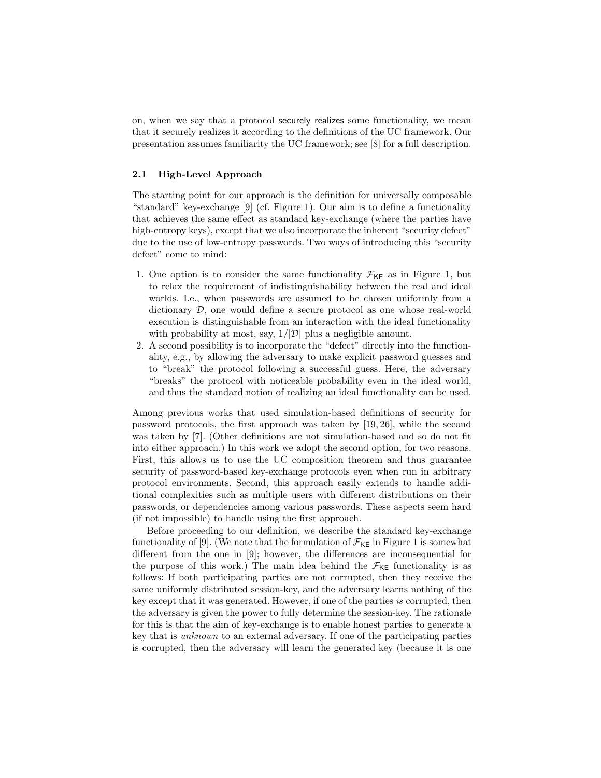on, when we say that a protocol securely realizes some functionality, we mean that it securely realizes it according to the definitions of the UC framework. Our presentation assumes familiarity the UC framework; see [8] for a full description.

#### 2.1 High-Level Approach

The starting point for our approach is the definition for universally composable "standard" key-exchange [9] (cf. Figure 1). Our aim is to define a functionality that achieves the same effect as standard key-exchange (where the parties have high-entropy keys), except that we also incorporate the inherent "security defect" due to the use of low-entropy passwords. Two ways of introducing this "security defect" come to mind:

- 1. One option is to consider the same functionality  $\mathcal{F}_{KE}$  as in Figure 1, but to relax the requirement of indistinguishability between the real and ideal worlds. I.e., when passwords are assumed to be chosen uniformly from a dictionary D, one would define a secure protocol as one whose real-world execution is distinguishable from an interaction with the ideal functionality with probability at most, say,  $1/|\mathcal{D}|$  plus a negligible amount.
- 2. A second possibility is to incorporate the "defect" directly into the functionality, e.g., by allowing the adversary to make explicit password guesses and to "break" the protocol following a successful guess. Here, the adversary "breaks" the protocol with noticeable probability even in the ideal world, and thus the standard notion of realizing an ideal functionality can be used.

Among previous works that used simulation-based definitions of security for password protocols, the first approach was taken by [19, 26], while the second was taken by [7]. (Other definitions are not simulation-based and so do not fit into either approach.) In this work we adopt the second option, for two reasons. First, this allows us to use the UC composition theorem and thus guarantee security of password-based key-exchange protocols even when run in arbitrary protocol environments. Second, this approach easily extends to handle additional complexities such as multiple users with different distributions on their passwords, or dependencies among various passwords. These aspects seem hard (if not impossible) to handle using the first approach.

Before proceeding to our definition, we describe the standard key-exchange functionality of [9]. (We note that the formulation of  $\mathcal{F}_{KE}$  in Figure 1 is somewhat different from the one in [9]; however, the differences are inconsequential for the purpose of this work.) The main idea behind the  $\mathcal{F}_{KE}$  functionality is as follows: If both participating parties are not corrupted, then they receive the same uniformly distributed session-key, and the adversary learns nothing of the key except that it was generated. However, if one of the parties is corrupted, then the adversary is given the power to fully determine the session-key. The rationale for this is that the aim of key-exchange is to enable honest parties to generate a key that is unknown to an external adversary. If one of the participating parties is corrupted, then the adversary will learn the generated key (because it is one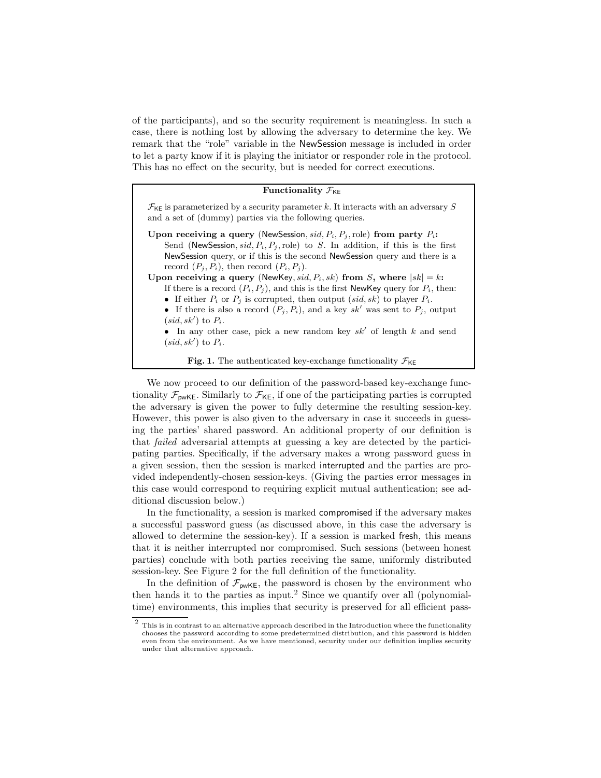of the participants), and so the security requirement is meaningless. In such a case, there is nothing lost by allowing the adversary to determine the key. We remark that the "role" variable in the NewSession message is included in order to let a party know if it is playing the initiator or responder role in the protocol. This has no effect on the security, but is needed for correct executions.

## Functionality  $\mathcal{F}_{KE}$

 $\mathcal{F}_{\mathsf{KE}}$  is parameterized by a security parameter k. It interacts with an adversary S and a set of (dummy) parties via the following queries.

Upon receiving a query (NewSession, sid,  $P_i$ ,  $P_j$ , role) from party  $P_i$ : Send (NewSession, sid,  $P_i$ ,  $P_j$ , role) to S. In addition, if this is the first NewSession query, or if this is the second NewSession query and there is a record  $(P_i, P_i)$ , then record  $(P_i, P_j)$ .

Upon receiving a query (NewKey, sid,  $P_i$ , sk) from S, where  $|sk| = k$ :

If there is a record  $(P_i, P_j)$ , and this is the first NewKey query for  $P_i$ , then: • If either  $P_i$  or  $P_j$  is corrupted, then output  $(sid, sk)$  to player  $P_i$ .

• If there is also a record  $(P_j, P_i)$ , and a key sk' was sent to  $P_j$ , output  $(sid, sk')$  to  $P_i$ .

• In any other case, pick a new random key  $sk'$  of length k and send  $(sid, sk')$  to  $P_i$ .

Fig. 1. The authenticated key-exchange functionality  $\mathcal{F}_{\mathsf{KE}}$ 

We now proceed to our definition of the password-based key-exchange functionality  $\mathcal{F}_{\text{pwKE}}$ . Similarly to  $\mathcal{F}_{\text{KE}}$ , if one of the participating parties is corrupted the adversary is given the power to fully determine the resulting session-key. However, this power is also given to the adversary in case it succeeds in guessing the parties' shared password. An additional property of our definition is that failed adversarial attempts at guessing a key are detected by the participating parties. Specifically, if the adversary makes a wrong password guess in a given session, then the session is marked interrupted and the parties are provided independently-chosen session-keys. (Giving the parties error messages in this case would correspond to requiring explicit mutual authentication; see additional discussion below.)

In the functionality, a session is marked compromised if the adversary makes a successful password guess (as discussed above, in this case the adversary is allowed to determine the session-key). If a session is marked fresh, this means that it is neither interrupted nor compromised. Such sessions (between honest parties) conclude with both parties receiving the same, uniformly distributed session-key. See Figure 2 for the full definition of the functionality.

In the definition of  $\mathcal{F}_{\text{pwKE}}$ , the password is chosen by the environment who then hands it to the parties as input.<sup>2</sup> Since we quantify over all (polynomialtime) environments, this implies that security is preserved for all efficient pass-

<sup>&</sup>lt;sup>2</sup> This is in contrast to an alternative approach described in the Introduction where the functionality chooses the password according to some predetermined distribution, and this password is hidden even from the environment. As we have mentioned, security under our definition implies security under that alternative approach.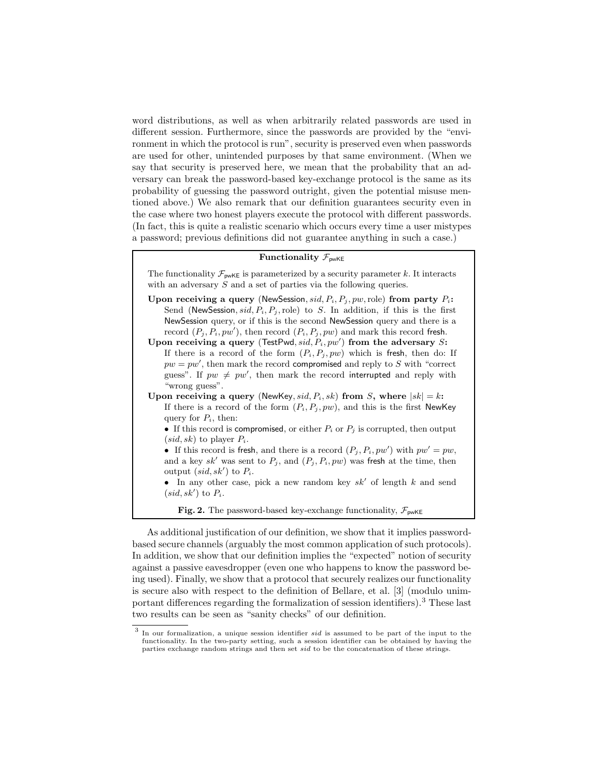word distributions, as well as when arbitrarily related passwords are used in different session. Furthermore, since the passwords are provided by the "environment in which the protocol is run", security is preserved even when passwords are used for other, unintended purposes by that same environment. (When we say that security is preserved here, we mean that the probability that an adversary can break the password-based key-exchange protocol is the same as its probability of guessing the password outright, given the potential misuse mentioned above.) We also remark that our definition guarantees security even in the case where two honest players execute the protocol with different passwords. (In fact, this is quite a realistic scenario which occurs every time a user mistypes a password; previous definitions did not guarantee anything in such a case.)

#### Functionality  $\mathcal{F}_{\text{pwKE}}$

The functionality  $\mathcal{F}_{\text{pwKE}}$  is parameterized by a security parameter k. It interacts with an adversary S and a set of parties via the following queries.

Upon receiving a query (NewSession, sid,  $P_i$ ,  $P_j$ ,  $pw$ , role) from party  $P_i$ : Send (NewSession, sid,  $P_i$ ,  $P_j$ , role) to S. In addition, if this is the first NewSession query, or if this is the second NewSession query and there is a record  $(P_j, P_i, pw')$ , then record  $(P_i, P_j, pw)$  and mark this record fresh.

Upon receiving a query (TestPwd,  $sid, P_i, pw'$ ) from the adversary S: If there is a record of the form  $(P_i, P_j, pw)$  which is fresh, then do: If  $pw = pw'$ , then mark the record compromised and reply to S with "correct" guess". If  $pw \neq pw'$ , then mark the record interrupted and reply with "wrong guess".

Upon receiving a query (NewKey, sid,  $P_i$ , sk) from S, where  $|sk| = k$ : If there is a record of the form  $(P_i, P_j, pw)$ , and this is the first NewKey query for  $P_i$ , then:

• If this record is compromised, or either  $P_i$  or  $P_j$  is corrupted, then output  $(sid, sk)$  to player  $P_i$ .

• If this record is fresh, and there is a record  $(P_j, P_i, pw')$  with  $pw' = pw$ , and a key sk' was sent to  $P_i$ , and  $(P_i, P_i, pw)$  was fresh at the time, then output  $(sid, sk')$  to  $P_i$ .

• In any other case, pick a new random key  $sk'$  of length k and send  $(sid, sk')$  to  $P_i$ .

Fig. 2. The password-based key-exchange functionality,  $\mathcal{F}_{\text{pwKE}}$ 

As additional justification of our definition, we show that it implies passwordbased secure channels (arguably the most common application of such protocols). In addition, we show that our definition implies the "expected" notion of security against a passive eavesdropper (even one who happens to know the password being used). Finally, we show that a protocol that securely realizes our functionality is secure also with respect to the definition of Bellare, et al. [3] (modulo unimportant differences regarding the formalization of session identifiers).<sup>3</sup> These last two results can be seen as "sanity checks" of our definition.

<sup>3</sup> In our formalization, a unique session identifier sid is assumed to be part of the input to the functionality. In the two-party setting, such a session identifier can be obtained by having the parties exchange random strings and then set sid to be the concatenation of these strings.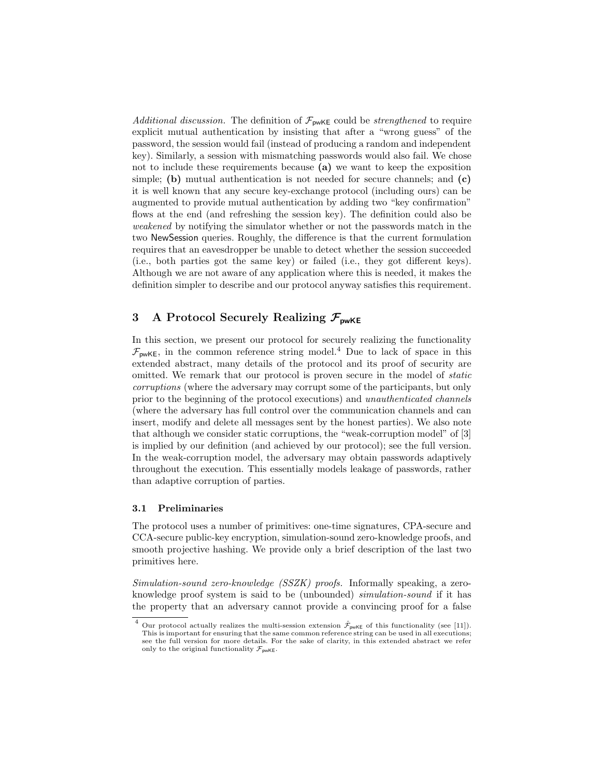Additional discussion. The definition of  $\mathcal{F}_{\text{pwKE}}$  could be strengthened to require explicit mutual authentication by insisting that after a "wrong guess" of the password, the session would fail (instead of producing a random and independent key). Similarly, a session with mismatching passwords would also fail. We chose not to include these requirements because (a) we want to keep the exposition simple; (b) mutual authentication is not needed for secure channels; and  $(c)$ it is well known that any secure key-exchange protocol (including ours) can be augmented to provide mutual authentication by adding two "key confirmation" flows at the end (and refreshing the session key). The definition could also be weakened by notifying the simulator whether or not the passwords match in the two NewSession queries. Roughly, the difference is that the current formulation requires that an eavesdropper be unable to detect whether the session succeeded (i.e., both parties got the same key) or failed (i.e., they got different keys). Although we are not aware of any application where this is needed, it makes the definition simpler to describe and our protocol anyway satisfies this requirement.

# 3 A Protocol Securely Realizing  $\mathcal{F}_{\text{pwKE}}$

In this section, we present our protocol for securely realizing the functionality  $\mathcal{F}_{\text{pwKE}}$ , in the common reference string model.<sup>4</sup> Due to lack of space in this extended abstract, many details of the protocol and its proof of security are omitted. We remark that our protocol is proven secure in the model of static corruptions (where the adversary may corrupt some of the participants, but only prior to the beginning of the protocol executions) and unauthenticated channels (where the adversary has full control over the communication channels and can insert, modify and delete all messages sent by the honest parties). We also note that although we consider static corruptions, the "weak-corruption model" of [3] is implied by our definition (and achieved by our protocol); see the full version. In the weak-corruption model, the adversary may obtain passwords adaptively throughout the execution. This essentially models leakage of passwords, rather than adaptive corruption of parties.

#### 3.1 Preliminaries

The protocol uses a number of primitives: one-time signatures, CPA-secure and CCA-secure public-key encryption, simulation-sound zero-knowledge proofs, and smooth projective hashing. We provide only a brief description of the last two primitives here.

Simulation-sound zero-knowledge (SSZK) proofs. Informally speaking, a zeroknowledge proof system is said to be (unbounded) simulation-sound if it has the property that an adversary cannot provide a convincing proof for a false

Our protocol actually realizes the multi-session extension  $\hat{\mathcal{F}}_{\text{pwKE}}$  of this functionality (see [11]). This is important for ensuring that the same common reference string can be used in all executions; see the full version for more details. For the sake of clarity, in this extended abstract we refer only to the original functionality  $\mathcal{F}_{\text{pwKE}}$ .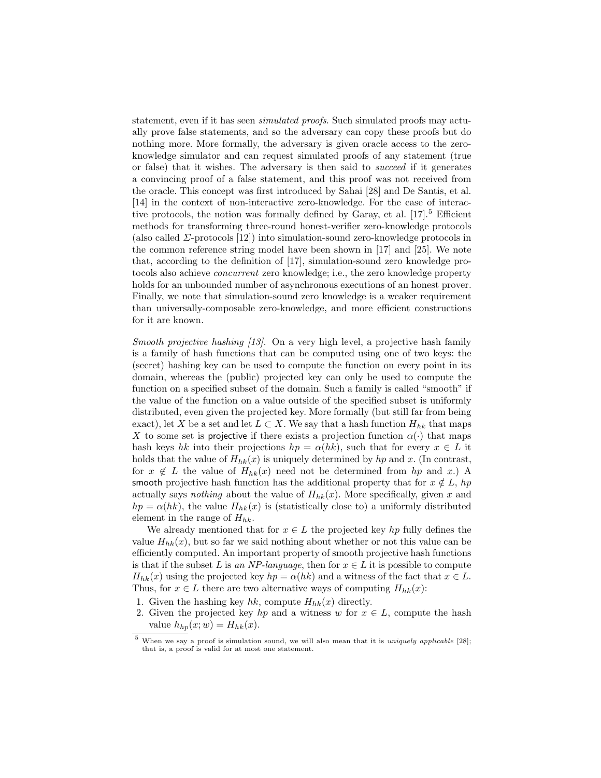statement, even if it has seen *simulated proofs*. Such simulated proofs may actually prove false statements, and so the adversary can copy these proofs but do nothing more. More formally, the adversary is given oracle access to the zeroknowledge simulator and can request simulated proofs of any statement (true or false) that it wishes. The adversary is then said to succeed if it generates a convincing proof of a false statement, and this proof was not received from the oracle. This concept was first introduced by Sahai [28] and De Santis, et al. [14] in the context of non-interactive zero-knowledge. For the case of interactive protocols, the notion was formally defined by Garay, et al.  $[17]$ <sup>5</sup> Efficient methods for transforming three-round honest-verifier zero-knowledge protocols (also called  $\Sigma$ -protocols [12]) into simulation-sound zero-knowledge protocols in the common reference string model have been shown in [17] and [25]. We note that, according to the definition of [17], simulation-sound zero knowledge protocols also achieve concurrent zero knowledge; i.e., the zero knowledge property holds for an unbounded number of asynchronous executions of an honest prover. Finally, we note that simulation-sound zero knowledge is a weaker requirement than universally-composable zero-knowledge, and more efficient constructions for it are known.

Smooth projective hashing [13]. On a very high level, a projective hash family is a family of hash functions that can be computed using one of two keys: the (secret) hashing key can be used to compute the function on every point in its domain, whereas the (public) projected key can only be used to compute the function on a specified subset of the domain. Such a family is called "smooth" if the value of the function on a value outside of the specified subset is uniformly distributed, even given the projected key. More formally (but still far from being exact), let X be a set and let  $L \subset X$ . We say that a hash function  $H_{hk}$  that maps X to some set is projective if there exists a projection function  $\alpha(\cdot)$  that maps hash keys hk into their projections  $hp = \alpha(hk)$ , such that for every  $x \in L$  it holds that the value of  $H_{hk}(x)$  is uniquely determined by hp and x. (In contrast, for  $x \notin L$  the value of  $H_{hk}(x)$  need not be determined from hp and x.) A smooth projective hash function has the additional property that for  $x \notin L$ , hp actually says *nothing* about the value of  $H_{hk}(x)$ . More specifically, given x and  $hp = \alpha(hk)$ , the value  $H_{hk}(x)$  is (statistically close to) a uniformly distributed element in the range of  $H_{hk}$ .

We already mentioned that for  $x \in L$  the projected key hp fully defines the value  $H_{hk}(x)$ , but so far we said nothing about whether or not this value can be efficiently computed. An important property of smooth projective hash functions is that if the subset L is an NP-language, then for  $x \in L$  it is possible to compute  $H_{hk}(x)$  using the projected key  $hp = \alpha(hk)$  and a witness of the fact that  $x \in L$ . Thus, for  $x \in L$  there are two alternative ways of computing  $H_{hk}(x)$ :

- 1. Given the hashing key hk, compute  $H_{hk}(x)$  directly.
- 2. Given the projected key hp and a witness w for  $x \in L$ , compute the hash value  $h_{hp}(x; w) = H_{hk}(x)$ .

 $5$  When we say a proof is simulation sound, we will also mean that it is uniquely applicable [28]; that is, a proof is valid for at most one statement.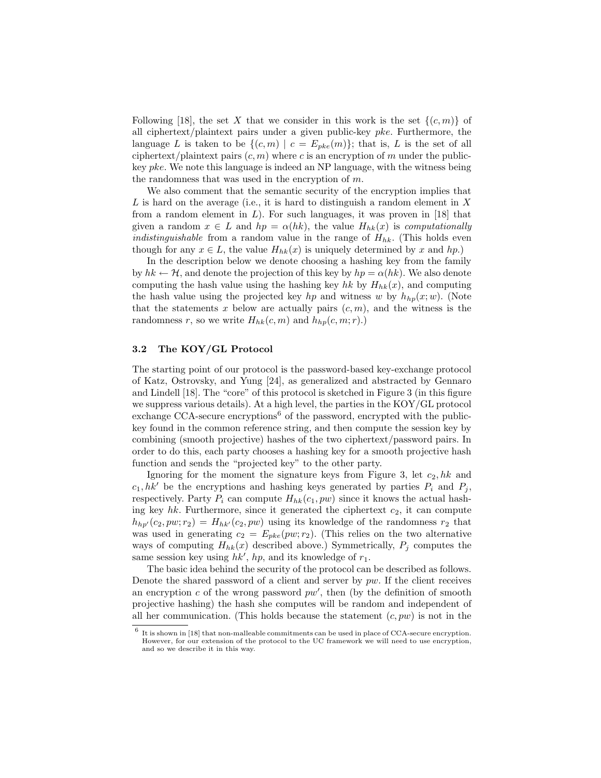Following [18], the set X that we consider in this work is the set  $\{(c, m)\}\$  of all ciphertext/plaintext pairs under a given public-key pke. Furthermore, the language L is taken to be  $\{(c,m) | c = E_{pke}(m)\}\;$  that is, L is the set of all ciphertext/plaintext pairs  $(c, m)$  where c is an encryption of m under the publickey pke. We note this language is indeed an NP language, with the witness being the randomness that was used in the encryption of  $m$ .

We also comment that the semantic security of the encryption implies that L is hard on the average (i.e., it is hard to distinguish a random element in  $X$ from a random element in  $L$ ). For such languages, it was proven in [18] that given a random  $x \in L$  and  $hp = \alpha(hk)$ , the value  $H_{hk}(x)$  is computationally *indistinguishable* from a random value in the range of  $H_{hk}$ . (This holds even though for any  $x \in L$ , the value  $H_{hk}(x)$  is uniquely determined by x and  $hp$ .)

In the description below we denote choosing a hashing key from the family by  $hk \leftarrow \mathcal{H}$ , and denote the projection of this key by  $hp = \alpha(hk)$ . We also denote computing the hash value using the hashing key hk by  $H_{hk}(x)$ , and computing the hash value using the projected key hp and witness w by  $h_{hp}(x; w)$ . (Note that the statements x below are actually pairs  $(c, m)$ , and the witness is the randomness r, so we write  $H_{hk}(c, m)$  and  $h_{hp}(c, m; r)$ .)

#### 3.2 The KOY/GL Protocol

The starting point of our protocol is the password-based key-exchange protocol of Katz, Ostrovsky, and Yung [24], as generalized and abstracted by Gennaro and Lindell [18]. The "core" of this protocol is sketched in Figure 3 (in this figure we suppress various details). At a high level, the parties in the KOY/GL protocol exchange CCA-secure encryptions<sup>6</sup> of the password, encrypted with the publickey found in the common reference string, and then compute the session key by combining (smooth projective) hashes of the two ciphertext/password pairs. In order to do this, each party chooses a hashing key for a smooth projective hash function and sends the "projected key" to the other party.

Ignoring for the moment the signature keys from Figure 3, let  $c_2$ , hk and  $c_1$ ,  $hk'$  be the encryptions and hashing keys generated by parties  $P_i$  and  $P_j$ , respectively. Party  $P_i$  can compute  $H_{hk}(c_1, pw)$  since it knows the actual hashing key hk. Furthermore, since it generated the ciphertext  $c_2$ , it can compute  $h_{hp}(c_2, pw; r_2) = H_{hk}(c_2, pw)$  using its knowledge of the randomness  $r_2$  that was used in generating  $c_2 = E_{pke}(pw; r_2)$ . (This relies on the two alternative ways of computing  $H_{hk}(x)$  described above.) Symmetrically,  $P_j$  computes the same session key using  $hk'$ , hp, and its knowledge of  $r_1$ .

The basic idea behind the security of the protocol can be described as follows. Denote the shared password of a client and server by pw. If the client receives an encryption  $c$  of the wrong password  $pw'$ , then (by the definition of smooth projective hashing) the hash she computes will be random and independent of all her communication. (This holds because the statement  $(c, pw)$  is not in the

<sup>6</sup> It is shown in [18] that non-malleable commitments can be used in place of CCA-secure encryption. However, for our extension of the protocol to the UC framework we will need to use encryption, and so we describe it in this way.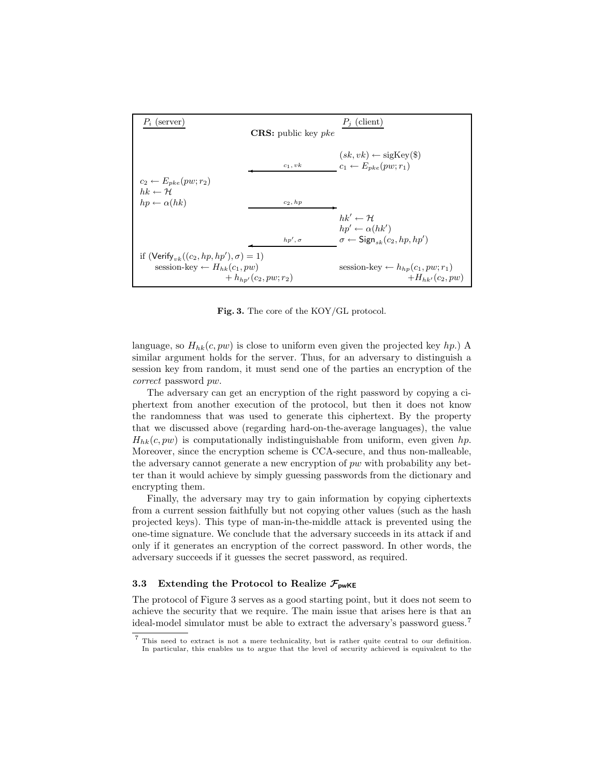

Fig. 3. The core of the KOY/GL protocol.

language, so  $H_{hk}(c, pw)$  is close to uniform even given the projected key hp.) A similar argument holds for the server. Thus, for an adversary to distinguish a session key from random, it must send one of the parties an encryption of the correct password pw.

The adversary can get an encryption of the right password by copying a ciphertext from another execution of the protocol, but then it does not know the randomness that was used to generate this ciphertext. By the property that we discussed above (regarding hard-on-the-average languages), the value  $H_{hk}(c, pw)$  is computationally indistinguishable from uniform, even given hp. Moreover, since the encryption scheme is CCA-secure, and thus non-malleable, the adversary cannot generate a new encryption of  $pw$  with probability any better than it would achieve by simply guessing passwords from the dictionary and encrypting them.

Finally, the adversary may try to gain information by copying ciphertexts from a current session faithfully but not copying other values (such as the hash projected keys). This type of man-in-the-middle attack is prevented using the one-time signature. We conclude that the adversary succeeds in its attack if and only if it generates an encryption of the correct password. In other words, the adversary succeeds if it guesses the secret password, as required.

## 3.3 Extending the Protocol to Realize  $\mathcal{F}_{\text{pwKE}}$

The protocol of Figure 3 serves as a good starting point, but it does not seem to achieve the security that we require. The main issue that arises here is that an ideal-model simulator must be able to extract the adversary's password guess.<sup>7</sup>

<sup>7</sup> This need to extract is not <sup>a</sup> mere technicality, but is rather quite central to our definition. In particular, this enables us to argue that the level of security achieved is equivalent to the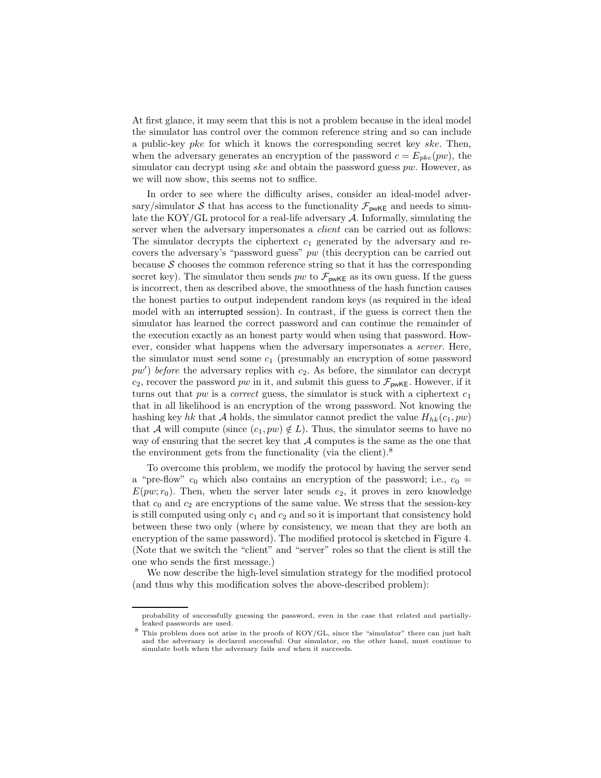At first glance, it may seem that this is not a problem because in the ideal model the simulator has control over the common reference string and so can include a public-key pke for which it knows the corresponding secret key ske. Then, when the adversary generates an encryption of the password  $c = E_{pke}(pw)$ , the simulator can decrypt using ske and obtain the password guess pw. However, as we will now show, this seems not to suffice.

In order to see where the difficulty arises, consider an ideal-model adversary/simulator S that has access to the functionality  $\mathcal{F}_{\text{pwKE}}$  and needs to simulate the  $\text{KOY/GL}$  protocol for a real-life adversary  $\mathcal A$ . Informally, simulating the server when the adversary impersonates a *client* can be carried out as follows: The simulator decrypts the ciphertext  $c_1$  generated by the adversary and recovers the adversary's "password guess" pw (this decryption can be carried out because  $S$  chooses the common reference string so that it has the corresponding secret key). The simulator then sends pw to  $\mathcal{F}_{\text{pwKE}}$  as its own guess. If the guess is incorrect, then as described above, the smoothness of the hash function causes the honest parties to output independent random keys (as required in the ideal model with an interrupted session). In contrast, if the guess is correct then the simulator has learned the correct password and can continue the remainder of the execution exactly as an honest party would when using that password. However, consider what happens when the adversary impersonates a server. Here, the simulator must send some  $c_1$  (presumably an encryption of some password  $pw'$ ) before the adversary replies with  $c_2$ . As before, the simulator can decrypt  $c_2$ , recover the password pw in it, and submit this guess to  $\mathcal{F}_{\text{pwKE}}$ . However, if it turns out that pw is a correct guess, the simulator is stuck with a ciphertext  $c_1$ that in all likelihood is an encryption of the wrong password. Not knowing the hashing key hk that A holds, the simulator cannot predict the value  $H_{hk}(c_1, pw)$ that A will compute (since  $(c_1, pw) \notin L$ ). Thus, the simulator seems to have no way of ensuring that the secret key that  $A$  computes is the same as the one that the environment gets from the functionality (via the client).<sup>8</sup>

To overcome this problem, we modify the protocol by having the server send a "pre-flow"  $c_0$  which also contains an encryption of the password; i.e.,  $c_0 =$  $E(pw; r_0)$ . Then, when the server later sends  $c_2$ , it proves in zero knowledge that  $c_0$  and  $c_2$  are encryptions of the same value. We stress that the session-key is still computed using only  $c_1$  and  $c_2$  and so it is important that consistency hold between these two only (where by consistency, we mean that they are both an encryption of the same password). The modified protocol is sketched in Figure 4. (Note that we switch the "client" and "server" roles so that the client is still the one who sends the first message.)

We now describe the high-level simulation strategy for the modified protocol (and thus why this modification solves the above-described problem):

probability of successfully guessing the password, even in the case that related and partiallyleaked passwords are used.

<sup>8</sup> This problem does not arise in the proofs of KOY/GL, since the "simulator" there can just halt and the adversary is declared successful. Our simulator, on the other hand, must continue to simulate both when the adversary fails and when it succeeds.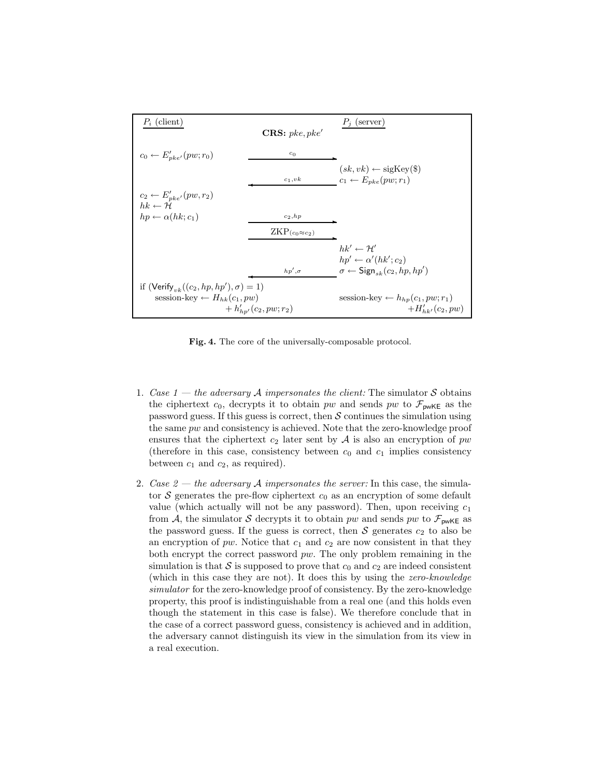

Fig. 4. The core of the universally-composable protocol.

- 1. Case 1 the adversary A impersonates the client: The simulator S obtains the ciphertext  $c_0$ , decrypts it to obtain pw and sends pw to  $\mathcal{F}_{\text{pwKE}}$  as the password guess. If this guess is correct, then  $S$  continues the simulation using the same pw and consistency is achieved. Note that the zero-knowledge proof ensures that the ciphertext  $c_2$  later sent by  $A$  is also an encryption of pw (therefore in this case, consistency between  $c_0$  and  $c_1$  implies consistency between  $c_1$  and  $c_2$ , as required).
- 2. Case  $2$  the adversary A impersonates the server: In this case, the simulator  $S$  generates the pre-flow ciphertext  $c_0$  as an encryption of some default value (which actually will not be any password). Then, upon receiving  $c_1$ from A, the simulator S decrypts it to obtain pw and sends pw to  $\mathcal{F}_{\text{pwKE}}$  as the password guess. If the guess is correct, then  $\mathcal S$  generates  $c_2$  to also be an encryption of pw. Notice that  $c_1$  and  $c_2$  are now consistent in that they both encrypt the correct password  $pw$ . The only problem remaining in the simulation is that  $S$  is supposed to prove that  $c_0$  and  $c_2$  are indeed consistent (which in this case they are not). It does this by using the zero-knowledge simulator for the zero-knowledge proof of consistency. By the zero-knowledge property, this proof is indistinguishable from a real one (and this holds even though the statement in this case is false). We therefore conclude that in the case of a correct password guess, consistency is achieved and in addition, the adversary cannot distinguish its view in the simulation from its view in a real execution.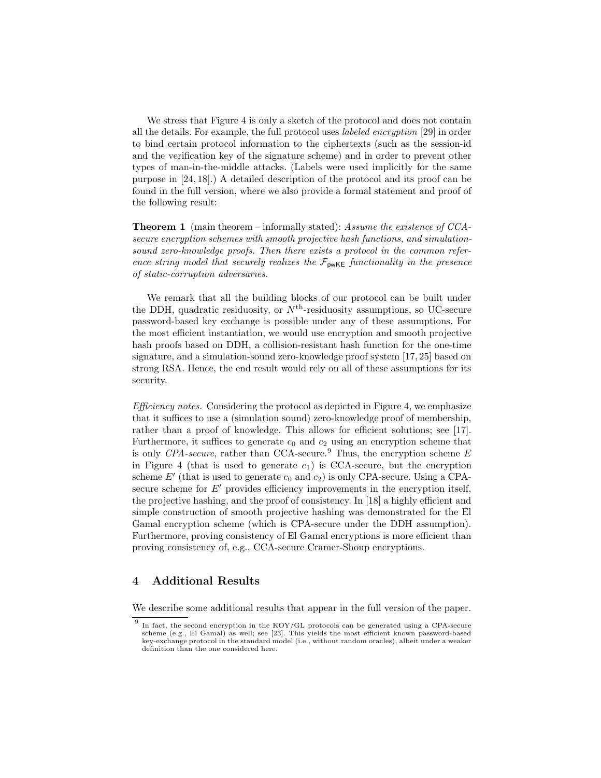We stress that Figure 4 is only a sketch of the protocol and does not contain all the details. For example, the full protocol uses labeled encryption [29] in order to bind certain protocol information to the ciphertexts (such as the session-id and the verification key of the signature scheme) and in order to prevent other types of man-in-the-middle attacks. (Labels were used implicitly for the same purpose in [24, 18].) A detailed description of the protocol and its proof can be found in the full version, where we also provide a formal statement and proof of the following result:

Theorem 1 (main theorem – informally stated): Assume the existence of CCAsecure encryption schemes with smooth projective hash functions, and simulationsound zero-knowledge proofs. Then there exists a protocol in the common reference string model that securely realizes the  $\mathcal{F}_{\text{pwKE}}$  functionality in the presence of static-corruption adversaries.

We remark that all the building blocks of our protocol can be built under the DDH, quadratic residuosity, or  $N<sup>th</sup>$ -residuosity assumptions, so UC-secure password-based key exchange is possible under any of these assumptions. For the most efficient instantiation, we would use encryption and smooth projective hash proofs based on DDH, a collision-resistant hash function for the one-time signature, and a simulation-sound zero-knowledge proof system [17, 25] based on strong RSA. Hence, the end result would rely on all of these assumptions for its security.

Efficiency notes. Considering the protocol as depicted in Figure 4, we emphasize that it suffices to use a (simulation sound) zero-knowledge proof of membership, rather than a proof of knowledge. This allows for efficient solutions; see [17]. Furthermore, it suffices to generate  $c_0$  and  $c_2$  using an encryption scheme that is only  $CPA\text{-}secure$ , rather than CCA-secure.<sup>9</sup> Thus, the encryption scheme E in Figure 4 (that is used to generate  $c_1$ ) is CCA-secure, but the encryption scheme  $E'$  (that is used to generate  $c_0$  and  $c_2$ ) is only CPA-secure. Using a CPAsecure scheme for  $E'$  provides efficiency improvements in the encryption itself, the projective hashing, and the proof of consistency. In [18] a highly efficient and simple construction of smooth projective hashing was demonstrated for the El Gamal encryption scheme (which is CPA-secure under the DDH assumption). Furthermore, proving consistency of El Gamal encryptions is more efficient than proving consistency of, e.g., CCA-secure Cramer-Shoup encryptions.

# 4 Additional Results

We describe some additional results that appear in the full version of the paper.

 $9$  In fact, the second encryption in the KOY/GL protocols can be generated using a CPA-secure scheme (e.g., El Gamal) as well; see [23]. This yields the most efficient known password-based key-exchange protocol in the standard model (i.e., without random oracles), albeit under a weaker definition than the one considered here.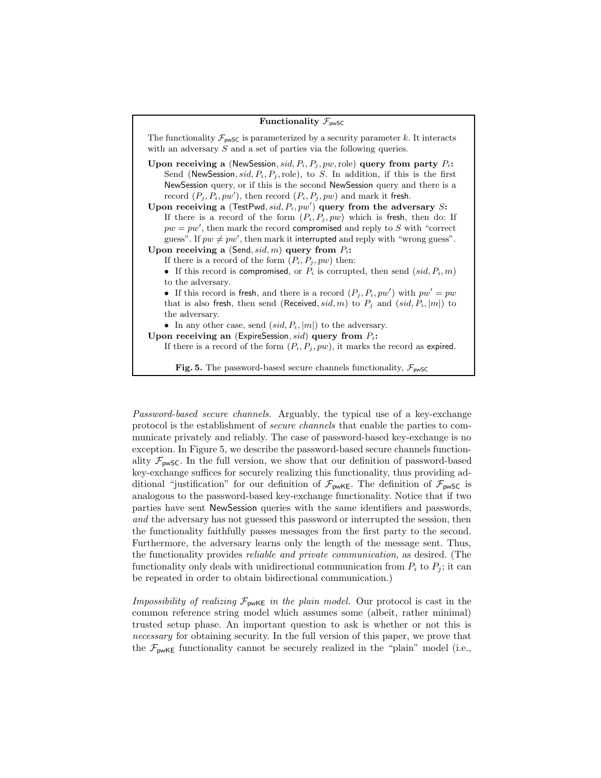#### Functionality  $\mathcal{F}_{\text{pwsC}}$

The functionality  $\mathcal{F}_{\text{pwSC}}$  is parameterized by a security parameter k. It interacts with an adversary S and a set of parties via the following queries.

Upon receiving a (NewSession, sid,  $P_i$ ,  $P_j$ ,  $pw$ , role) query from party  $P_i$ : Send (NewSession,  $sid, P_i, P_j,$  role), to S. In addition, if this is the first NewSession query, or if this is the second NewSession query and there is a record  $(P_j, P_i, pw')$ , then record  $(P_i, P_j, pw)$  and mark it fresh.

Upon receiving a (TestPwd,  $sid, P_i, pw'$ ) query from the adversary S: If there is a record of the form  $(P_i, P_i, pw)$  which is fresh, then do: If  $pw = pw'$ , then mark the record compromised and reply to S with "correct" guess". If  $pw \neq pw'$ , then mark it interrupted and reply with "wrong guess".

Upon receiving a  $(Send, sid, m)$  query from  $P_i$ :

If there is a record of the form  $(P_i, P_j, pw)$  then:

• If this record is compromised, or  $P_i$  is corrupted, then send  $(sid, P_i, m)$ to the adversary.

• If this record is fresh, and there is a record  $(P_j, P_i, pw')$  with  $pw' = pw$ that is also fresh, then send (Received, sid, m) to  $P_i$  and  $(sid, P_i, |m|)$  to the adversary.

• In any other case, send  $(sid, P_i, |m|)$  to the adversary.

Upon receiving an (ExpireSession,  $sid$ ) query from  $P_i$ : If there is a record of the form  $(P_i, P_j, pw)$ , it marks the record as expired.

Fig. 5. The password-based secure channels functionality,  $\mathcal{F}_{\text{pwsC}}$ 

Password-based secure channels. Arguably, the typical use of a key-exchange protocol is the establishment of secure channels that enable the parties to communicate privately and reliably. The case of password-based key-exchange is no exception. In Figure 5, we describe the password-based secure channels functionality  $\mathcal{F}_{\text{pwSC}}$ . In the full version, we show that our definition of password-based key-exchange suffices for securely realizing this functionality, thus providing additional "justification" for our definition of  $\mathcal{F}_{\text{pwkE}}$ . The definition of  $\mathcal{F}_{\text{pwsC}}$  is analogous to the password-based key-exchange functionality. Notice that if two parties have sent NewSession queries with the same identifiers and passwords, and the adversary has not guessed this password or interrupted the session, then the functionality faithfully passes messages from the first party to the second. Furthermore, the adversary learns only the length of the message sent. Thus, the functionality provides reliable and private communication, as desired. (The functionality only deals with unidirectional communication from  $P_i$  to  $P_j$ ; it can be repeated in order to obtain bidirectional communication.)

Impossibility of realizing  $\mathcal{F}_{\text{pwKE}}$  in the plain model. Our protocol is cast in the common reference string model which assumes some (albeit, rather minimal) trusted setup phase. An important question to ask is whether or not this is necessary for obtaining security. In the full version of this paper, we prove that the  $\mathcal{F}_{\text{pwKE}}$  functionality cannot be securely realized in the "plain" model (i.e.,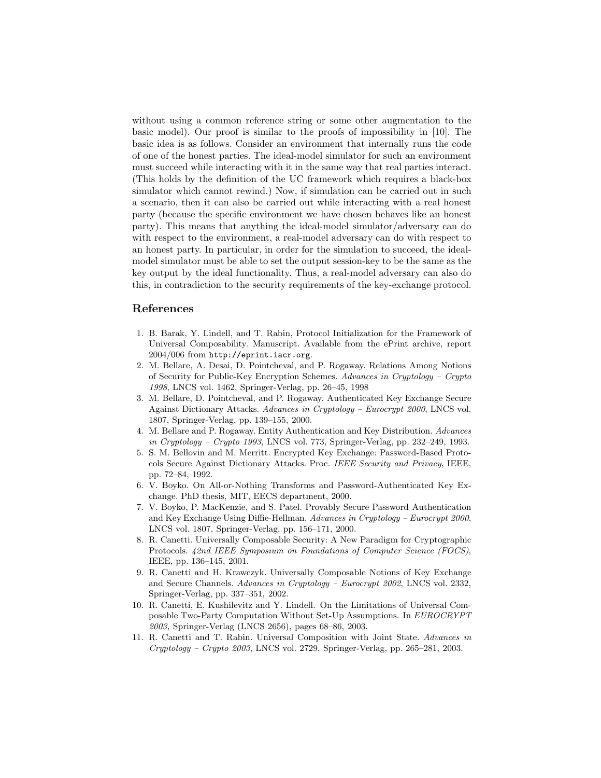without using a common reference string or some other augmentation to the basic model). Our proof is similar to the proofs of impossibility in [10]. The basic idea is as follows. Consider an environment that internally runs the code of one of the honest parties. The ideal-model simulator for such an environment must succeed while interacting with it in the same way that real parties interact. (This holds by the definition of the UC framework which requires a black-box simulator which cannot rewind.) Now, if simulation can be carried out in such a scenario, then it can also be carried out while interacting with a real honest party (because the specific environment we have chosen behaves like an honest party). This means that anything the ideal-model simulator/adversary can do with respect to the environment, a real-model adversary can do with respect to an honest party. In particular, in order for the simulation to succeed, the idealmodel simulator must be able to set the output session-key to be the same as the key output by the ideal functionality. Thus, a real-model adversary can also do this, in contradiction to the security requirements of the key-exchange protocol.

## References

- 1. B. Barak, Y. Lindell, and T. Rabin, Protocol Initialization for the Framework of Universal Composability. Manuscript. Available from the ePrint archive, report 2004/006 from http://eprint.iacr.org.
- 2. M. Bellare, A. Desai, D. Pointcheval, and P. Rogaway. Relations Among Notions of Security for Public-Key Encryption Schemes. Advances in Cryptology – Crypto 1998, LNCS vol. 1462, Springer-Verlag, pp. 26–45, 1998
- 3. M. Bellare, D. Pointcheval, and P. Rogaway. Authenticated Key Exchange Secure Against Dictionary Attacks. Advances in Cryptology – Eurocrypt 2000, LNCS vol. 1807, Springer-Verlag, pp. 139–155, 2000.
- 4. M. Bellare and P. Rogaway. Entity Authentication and Key Distribution. Advances in Cryptology – Crypto 1993, LNCS vol. 773, Springer-Verlag, pp. 232–249, 1993.
- 5. S. M. Bellovin and M. Merritt. Encrypted Key Exchange: Password-Based Protocols Secure Against Dictionary Attacks. Proc. IEEE Security and Privacy, IEEE, pp. 72–84, 1992.
- 6. V. Boyko. On All-or-Nothing Transforms and Password-Authenticated Key Exchange. PhD thesis, MIT, EECS department, 2000.
- 7. V. Boyko, P. MacKenzie, and S. Patel. Provably Secure Password Authentication and Key Exchange Using Diffie-Hellman. Advances in Cryptology – Eurocrypt 2000, LNCS vol. 1807, Springer-Verlag, pp. 156–171, 2000.
- 8. R. Canetti. Universally Composable Security: A New Paradigm for Cryptographic Protocols. 42nd IEEE Symposium on Foundations of Computer Science (FOCS), IEEE, pp. 136–145, 2001.
- 9. R. Canetti and H. Krawczyk. Universally Composable Notions of Key Exchange and Secure Channels. Advances in Cryptology – Eurocrypt 2002, LNCS vol. 2332, Springer-Verlag, pp. 337–351, 2002.
- 10. R. Canetti, E. Kushilevitz and Y. Lindell. On the Limitations of Universal Composable Two-Party Computation Without Set-Up Assumptions. In EUROCRYPT 2003, Springer-Verlag (LNCS 2656), pages 68–86, 2003.
- 11. R. Canetti and T. Rabin. Universal Composition with Joint State. Advances in Cryptology – Crypto 2003, LNCS vol. 2729, Springer-Verlag, pp. 265–281, 2003.